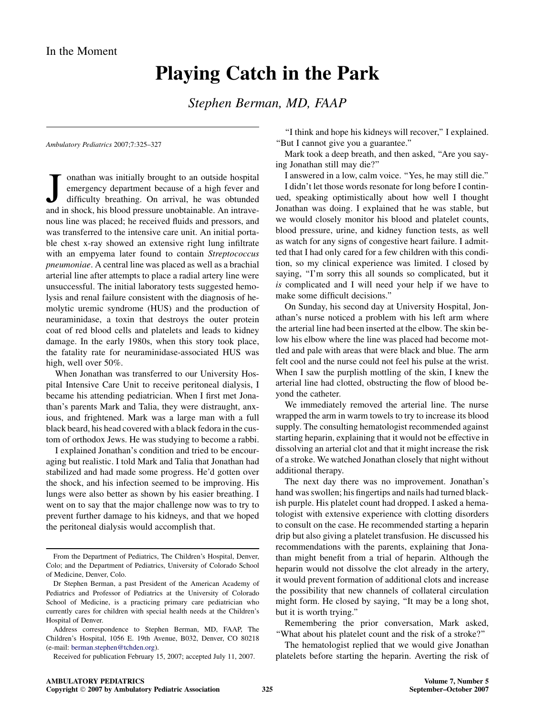## Playing Catch in the Park

Stephen Berman, MD, FAAP

Ambulatory Pediatrics 2007;7:325–327

Jonathan was initially brought to an outside hospital emergency department because of a high fever and difficulty breathing. On arrival, he was obtunded and in shock, his blood pressure unobtainable. An intraveonathan was initially brought to an outside hospital emergency department because of a high fever and difficulty breathing. On arrival, he was obtunded nous line was placed; he received fluids and pressors, and was transferred to the intensive care unit. An initial portable chest x-ray showed an extensive right lung infiltrate with an empyema later found to contain Streptococcus pneumoniae. A central line was placed as well as a brachial arterial line after attempts to place a radial artery line were unsuccessful. The initial laboratory tests suggested hemolysis and renal failure consistent with the diagnosis of hemolytic uremic syndrome (HUS) and the production of neuraminidase, a toxin that destroys the outer protein coat of red blood cells and platelets and leads to kidney damage. In the early 1980s, when this story took place, the fatality rate for neuraminidase-associated HUS was high, well over 50%.

When Jonathan was transferred to our University Hospital Intensive Care Unit to receive peritoneal dialysis, I became his attending pediatrician. When I first met Jonathan's parents Mark and Talia, they were distraught, anxious, and frightened. Mark was a large man with a full black beard, his head covered with a black fedora in the custom of orthodox Jews. He was studying to become a rabbi.

I explained Jonathan's condition and tried to be encouraging but realistic. I told Mark and Talia that Jonathan had stabilized and had made some progress. He'd gotten over the shock, and his infection seemed to be improving. His lungs were also better as shown by his easier breathing. I went on to say that the major challenge now was to try to prevent further damage to his kidneys, and that we hoped the peritoneal dialysis would accomplish that.

Received for publication February 15, 2007; accepted July 11, 2007.

''I think and hope his kidneys will recover,'' I explained. ''But I cannot give you a guarantee.''

Mark took a deep breath, and then asked, ''Are you saying Jonathan still may die?''

I answered in a low, calm voice. ''Yes, he may still die.''

I didn't let those words resonate for long before I continued, speaking optimistically about how well I thought Jonathan was doing. I explained that he was stable, but we would closely monitor his blood and platelet counts, blood pressure, urine, and kidney function tests, as well as watch for any signs of congestive heart failure. I admitted that I had only cared for a few children with this condition, so my clinical experience was limited. I closed by saying, "I'm sorry this all sounds so complicated, but it is complicated and I will need your help if we have to make some difficult decisions.''

On Sunday, his second day at University Hospital, Jonathan's nurse noticed a problem with his left arm where the arterial line had been inserted at the elbow. The skin below his elbow where the line was placed had become mottled and pale with areas that were black and blue. The arm felt cool and the nurse could not feel his pulse at the wrist. When I saw the purplish mottling of the skin, I knew the arterial line had clotted, obstructing the flow of blood beyond the catheter.

We immediately removed the arterial line. The nurse wrapped the arm in warm towels to try to increase its blood supply. The consulting hematologist recommended against starting heparin, explaining that it would not be effective in dissolving an arterial clot and that it might increase the risk of a stroke. We watched Jonathan closely that night without additional therapy.

The next day there was no improvement. Jonathan's hand was swollen; his fingertips and nails had turned blackish purple. His platelet count had dropped. I asked a hematologist with extensive experience with clotting disorders to consult on the case. He recommended starting a heparin drip but also giving a platelet transfusion. He discussed his recommendations with the parents, explaining that Jonathan might benefit from a trial of heparin. Although the heparin would not dissolve the clot already in the artery, it would prevent formation of additional clots and increase the possibility that new channels of collateral circulation might form. He closed by saying, ''It may be a long shot, but it is worth trying.''

Remembering the prior conversation, Mark asked, ''What about his platelet count and the risk of a stroke?''

The hematologist replied that we would give Jonathan platelets before starting the heparin. Averting the risk of

From the Department of Pediatrics, The Children's Hospital, Denver, Colo; and the Department of Pediatrics, University of Colorado School of Medicine, Denver, Colo.

Dr Stephen Berman, a past President of the American Academy of Pediatrics and Professor of Pediatrics at the University of Colorado School of Medicine, is a practicing primary care pediatrician who currently cares for children with special health needs at the Children's Hospital of Denver.

Address correspondence to Stephen Berman, MD, FAAP, The Children's Hospital, 1056 E. 19th Avenue, B032, Denver, CO 80218 (e-mail: [berman.stephen@tchden.org](mailto:berman.stephen@tchden.org)).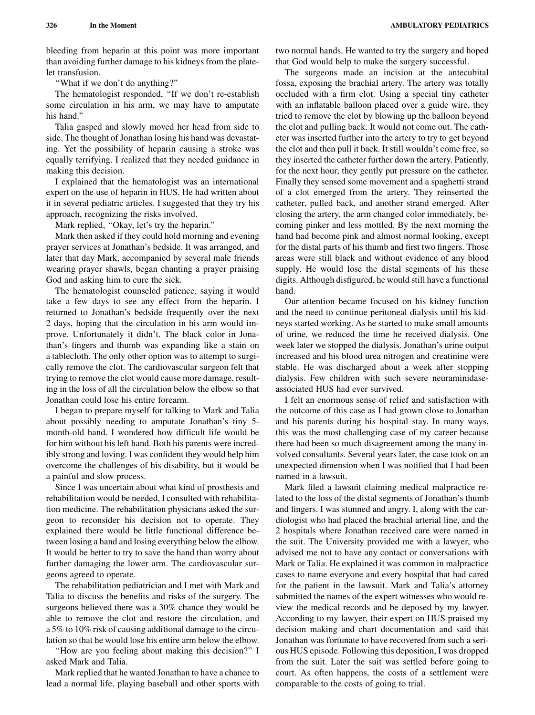bleeding from heparin at this point was more important than avoiding further damage to his kidneys from the platelet transfusion.

''What if we don't do anything?''

The hematologist responded, ''If we don't re-establish some circulation in his arm, we may have to amputate his hand.''

Talia gasped and slowly moved her head from side to side. The thought of Jonathan losing his hand was devastating. Yet the possibility of heparin causing a stroke was equally terrifying. I realized that they needed guidance in making this decision.

I explained that the hematologist was an international expert on the use of heparin in HUS. He had written about it in several pediatric articles. I suggested that they try his approach, recognizing the risks involved.

Mark replied, "Okay, let's try the heparin."

Mark then asked if they could hold morning and evening prayer services at Jonathan's bedside. It was arranged, and later that day Mark, accompanied by several male friends wearing prayer shawls, began chanting a prayer praising God and asking him to cure the sick.

The hematologist counseled patience, saying it would take a few days to see any effect from the heparin. I returned to Jonathan's bedside frequently over the next 2 days, hoping that the circulation in his arm would improve. Unfortunately it didn't. The black color in Jonathan's fingers and thumb was expanding like a stain on a tablecloth. The only other option was to attempt to surgically remove the clot. The cardiovascular surgeon felt that trying to remove the clot would cause more damage, resulting in the loss of all the circulation below the elbow so that Jonathan could lose his entire forearm.

I began to prepare myself for talking to Mark and Talia about possibly needing to amputate Jonathan's tiny 5 month-old hand. I wondered how difficult life would be for him without his left hand. Both his parents were incredibly strong and loving. I was confident they would help him overcome the challenges of his disability, but it would be a painful and slow process.

Since I was uncertain about what kind of prosthesis and rehabilitation would be needed, I consulted with rehabilitation medicine. The rehabilitation physicians asked the surgeon to reconsider his decision not to operate. They explained there would be little functional difference between losing a hand and losing everything below the elbow. It would be better to try to save the hand than worry about further damaging the lower arm. The cardiovascular surgeons agreed to operate.

The rehabilitation pediatrician and I met with Mark and Talia to discuss the benefits and risks of the surgery. The surgeons believed there was a 30% chance they would be able to remove the clot and restore the circulation, and a 5% to 10% risk of causing additional damage to the circulation so that he would lose his entire arm below the elbow.

''How are you feeling about making this decision?'' I asked Mark and Talia.

Mark replied that he wanted Jonathan to have a chance to lead a normal life, playing baseball and other sports with

two normal hands. He wanted to try the surgery and hoped that God would help to make the surgery successful.

The surgeons made an incision at the antecubital fossa, exposing the brachial artery. The artery was totally occluded with a firm clot. Using a special tiny catheter with an inflatable balloon placed over a guide wire, they tried to remove the clot by blowing up the balloon beyond the clot and pulling back. It would not come out. The catheter was inserted further into the artery to try to get beyond the clot and then pull it back. It still wouldn't come free, so they inserted the catheter further down the artery. Patiently, for the next hour, they gently put pressure on the catheter. Finally they sensed some movement and a spaghetti strand of a clot emerged from the artery. They reinserted the catheter, pulled back, and another strand emerged. After closing the artery, the arm changed color immediately, becoming pinker and less mottled. By the next morning the hand had become pink and almost normal looking, except for the distal parts of his thumb and first two fingers. Those areas were still black and without evidence of any blood supply. He would lose the distal segments of his these digits. Although disfigured, he would still have a functional hand.

Our attention became focused on his kidney function and the need to continue peritoneal dialysis until his kidneys started working. As he started to make small amounts of urine, we reduced the time he received dialysis. One week later we stopped the dialysis. Jonathan's urine output increased and his blood urea nitrogen and creatinine were stable. He was discharged about a week after stopping dialysis. Few children with such severe neuraminidaseassociated HUS had ever survived.

I felt an enormous sense of relief and satisfaction with the outcome of this case as I had grown close to Jonathan and his parents during his hospital stay. In many ways, this was the most challenging case of my career because there had been so much disagreement among the many involved consultants. Several years later, the case took on an unexpected dimension when I was notified that I had been named in a lawsuit.

Mark filed a lawsuit claiming medical malpractice related to the loss of the distal segments of Jonathan's thumb and fingers. I was stunned and angry. I, along with the cardiologist who had placed the brachial arterial line, and the 2 hospitals where Jonathan received care were named in the suit. The University provided me with a lawyer, who advised me not to have any contact or conversations with Mark or Talia. He explained it was common in malpractice cases to name everyone and every hospital that had cared for the patient in the lawsuit. Mark and Talia's attorney submitted the names of the expert witnesses who would review the medical records and be deposed by my lawyer. According to my lawyer, their expert on HUS praised my decision making and chart documentation and said that Jonathan was fortunate to have recovered from such a serious HUS episode. Following this deposition, I was dropped from the suit. Later the suit was settled before going to court. As often happens, the costs of a settlement were comparable to the costs of going to trial.